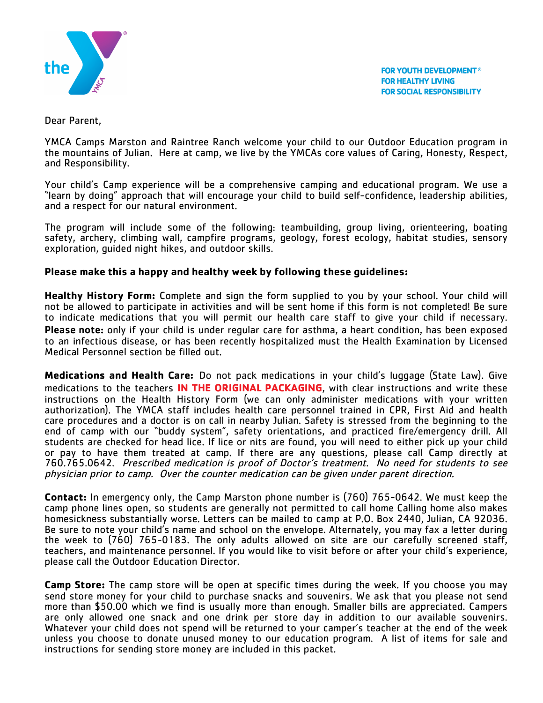

**FOR YOUTH DEVELOPMENT<sup>®</sup> FOR HEALTHY LIVING FOR SOCIAL RESPONSIBILITY** 

Dear Parent,

YMCA Camps Marston and Raintree Ranch welcome your child to our Outdoor Education program in the mountains of Julian. Here at camp, we live by the YMCAs core values of Caring, Honesty, Respect, and Responsibility.

Your child's Camp experience will be a comprehensive camping and educational program. We use a "learn by doing" approach that will encourage your child to build self-confidence, leadership abilities, and a respect for our natural environment.

The program will include some of the following: teambuilding, group living, orienteering, boating safety, archery, climbing wall, campfire programs, geology, forest ecology, habitat studies, sensory exploration, guided night hikes, and outdoor skills.

## **Please make this a happy and healthy week by following these guidelines:**

**Healthy History Form:** Complete and sign the form supplied to you by your school. Your child will not be allowed to participate in activities and will be sent home if this form is not completed! Be sure to indicate medications that you will permit our health care staff to give your child if necessary. Please note: only if your child is under reqular care for asthma, a heart condition, has been exposed to an infectious disease, or has been recently hospitalized must the Health Examination by Licensed Medical Personnel section be filled out.

**Medications and Health Care:** Do not pack medications in your child's luggage (State Law). Give medications to the teachers **IN THE ORIGINAL PACKAGING**, with clear instructions and write these instructions on the Health History Form (we can only administer medications with your written authorization). The YMCA staff includes health care personnel trained in CPR, First Aid and health care procedures and a doctor is on call in nearby Julian. Safety is stressed from the beginning to the end of camp with our "buddy system", safety orientations, and practiced fire/emergency drill. All students are checked for head lice. If lice or nits are found, you will need to either pick up your child or pay to have them treated at camp. If there are any questions, please call Camp directly at 760.765.0642. Prescribed medication is proof of Doctor's treatment. No need for students to see physician prior to camp. Over the counter medication can be given under parent direction.

**Contact:** In emergency only, the Camp Marston phone number is (760) 765-0642. We must keep the camp phone lines open, so students are generally not permitted to call home Calling home also makes homesickness substantially worse. Letters can be mailed to camp at P.O. Box 2440, Julian, CA 92036. Be sure to note your child's name and school on the envelope. Alternately, you may fax a letter during the week to (760) 765-0183. The only adults allowed on site are our carefully screened staff, teachers, and maintenance personnel. If you would like to visit before or after your child's experience, please call the Outdoor Education Director.

**Camp Store:** The camp store will be open at specific times during the week. If you choose you may send store money for your child to purchase snacks and souvenirs. We ask that you please not send more than \$50.00 which we find is usually more than enough. Smaller bills are appreciated. Campers are only allowed one snack and one drink per store day in addition to our available souvenirs.<br>Whatever your child does not spend will be returned to your camper's teacher at the end of the week unless you choose to donate unused money to our education program. A list of items for sale and instructions for sending store money are included in this packet.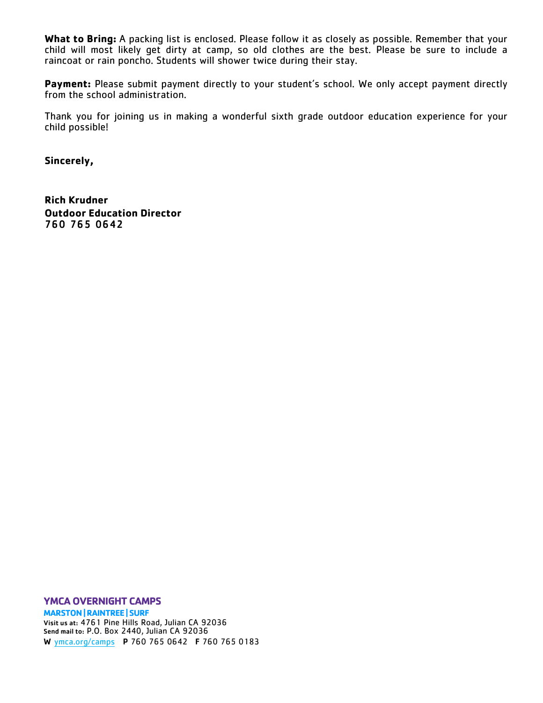**What to Bring:** A packing list is enclosed. Please follow it as closely as possible. Remember that your child will most likely get dirty at camp, so old clothes are the best. Please be sure to include a raincoat or rain poncho. Students will shower twice during their stay.

Payment: Please submit payment directly to your student's school. We only accept payment directly from the school administration.

Thank you for joining us in making a wonderful sixth grade outdoor education experience for your child possible!

**Sincerely,**

**Rich Krudner Outdoor Education Director** 760 765 0642

**YMCA OVERNIGHT CAMPS**

**MARSTON | RAINTREE | SURF** Visit us at: 4761 Pine Hills Road, Julian CA 92036 Send mail to: P.O. Box 2440, Julian CA 92036 W ymca.org/camps P 760 765 0642 F 760 765 0183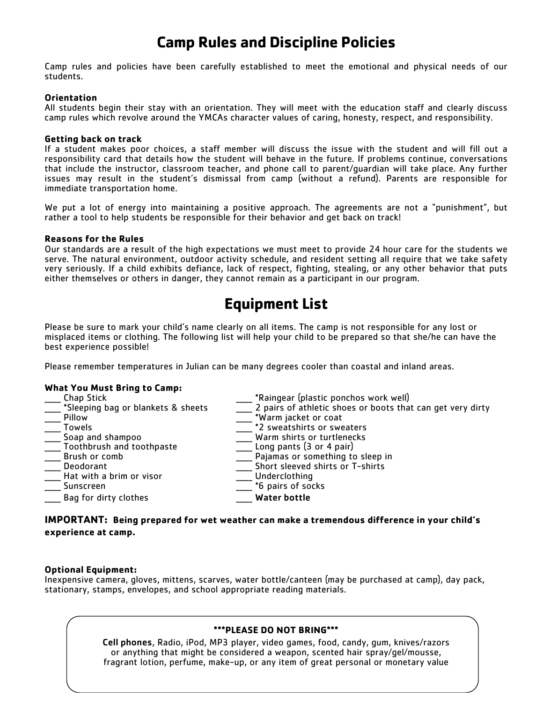# **Camp Rules and Discipline Policies**

Camp rules and policies have been carefully established to meet the emotional and physical needs of our students.

#### **Orientation**

All students begin their stay with an orientation. They will meet with the education staff and clearly discuss camp rules which revolve around the YMCAs character values of caring, honesty, respect, and responsibility.

#### **Getting back on track**

If a student makes poor choices, a staff member will discuss the issue with the student and will fill out a responsibility card that details how the student will behave in the future. If problems continue, conversations that include the instructor, classroom teacher, and phone call to parent/guardian will take place. Any further issues may result in the student's dismissal from camp (without a refund). Parents are responsible for immediate transportation home.

We put a lot of energy into maintaining a positive approach. The agreements are not a "punishment", but rather a tool to help students be responsible for their behavior and get back on track!

#### **Reasons for the Rules**

Our standards are a result of the high expectations we must meet to provide 24 hour care for the students we serve. The natural environment, outdoor activity schedule, and resident setting all require that we take safety very seriously. If a child exhibits defiance, lack of respect, fighting, stealing, or any other behavior that puts either themselves or others in danger, they cannot remain as a participant in our program.

# **Equipment List**

Please be sure to mark your child's name clearly on all items. The camp is not responsible for any lost or misplaced items or clothing. The following list will help your child to be prepared so that she/he can have the best experience possible!

Please remember temperatures in Julian can be many degrees cooler than coastal and inland areas.

### **What You Must Bring to Camp:**

| Chap Stick                         | *Raingear (plastic ponchos work well)                      |
|------------------------------------|------------------------------------------------------------|
| *Sleeping bag or blankets & sheets | 2 pairs of athletic shoes or boots that can get very dirty |
| Pillow                             | *Warm jacket or coat                                       |
| <b>Towels</b>                      | *2 sweatshirts or sweaters                                 |
| Soap and shampoo                   | Warm shirts or turtlenecks                                 |
| Toothbrush and toothpaste          | Long pants $(3 or 4 pair)$                                 |
| Brush or comb                      | Pajamas or something to sleep in                           |
| Deodorant                          | Short sleeved shirts or T-shirts                           |
| Hat with a brim or visor           | Underclothing                                              |
| Sunscreen                          | *6 pairs of socks                                          |
| Bag for dirty clothes              | <b>Water bottle</b>                                        |

## **IMPORTANT: Being prepared for wet weather can make a tremendous difference in your child's experience at camp.**

#### **Optional Equipment:**

Inexpensive camera, gloves, mittens, scarves, water bottle/canteen (may be purchased at camp), day pack, stationary, stamps, envelopes, and school appropriate reading materials.

### **\*\*\*PLEASE DO NOT BRING\*\*\***

Cell phones, Radio, iPod, MP3 player, video games, food, candy, gum, knives/razors or anything that might be considered a weapon, scented hair spray/gel/mousse, fragrant lotion, perfume, make-up, or any item of great personal or monetary value